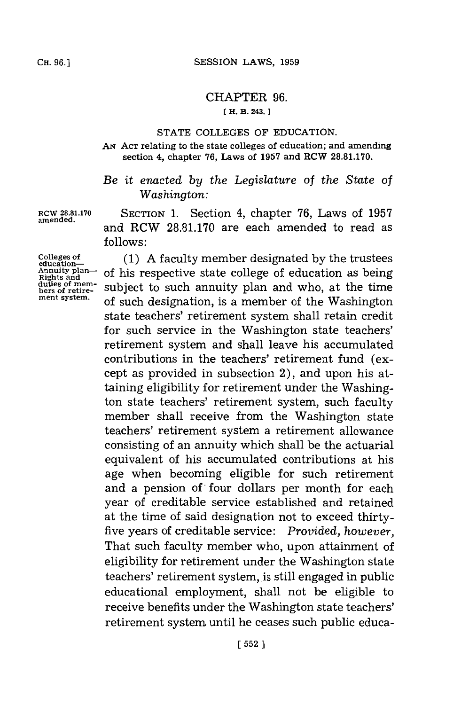## CHAPTER **96.**

## **[ H. B. 243.**

## **STATE COLLEGES** OF **EDUCATION.**

**AN ACT** relating to the state colleges of education; and amending section 4, chapter **76,** Laws of **1957** and RCW **28.81.170.**

## *Be it enacted by the Legislature of the State of Washington:*

**ROW 28.81.170** SECTION **1.** Section 4, chapter **76,** Laws of **1957** and RCW **28.81.170** are each amended to read as **follows:**

**Colleges of education-Annuity plan-Rights and** duties of mem**ment system.**

**amended.**

**(1) A** faculty member designated **by** the trustees of his respective state college of education as being subject to such annuity plan and who, at the time of such designation, is a member of the Washington state teachers' retirement system shall retain credit for such service in the Washington state teachers' retirement system and shall leave his accumulated contributions in the teachers' retirement fund (except as provided in subsection 2), and upon his attaining eligibility for retirement under the Washington state teachers' retirement system, such faculty member shall receive from the Washington state teachers' retirement system a retirement allowance consisting of an annuity which shall be the actuarial equivalent of his accumulated contributions at his age when becoming eligible for such retirement and a pension of four dollars per month for each year of creditable service established and retained at the time of said designation not to exceed thirtyfive years of creditable service: *Provided, however,* That such faculty member who, upon attainment of eligibility for retirement under the Washington state teachers' retirement system, is still engaged in public educational employment, shall not be eligible to receive benefits under the Washington state teachers' retirement system until he ceases such public educa